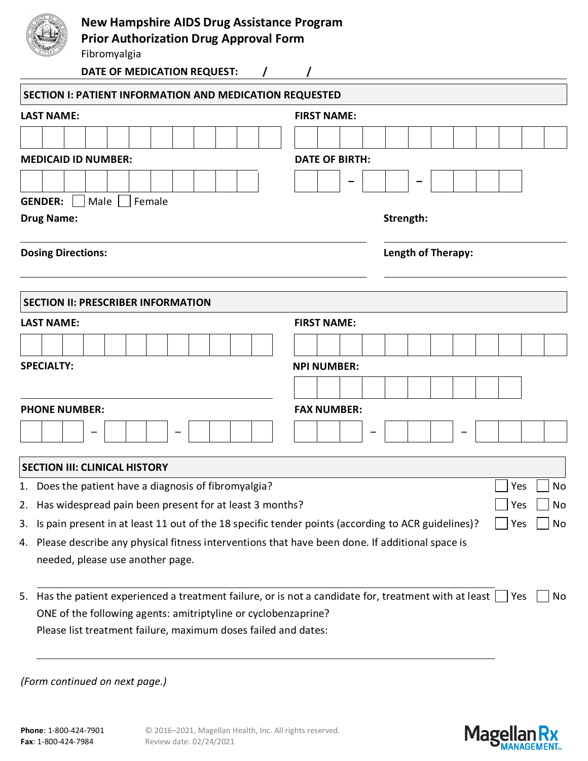| <b>New Hampshire AIDS Drug Assistance Program</b><br><b>Prior Authorization Drug Approval Form</b>       |                       |
|----------------------------------------------------------------------------------------------------------|-----------------------|
| Fibromyalgia                                                                                             |                       |
| DATE OF MEDICATION REQUEST:                                                                              |                       |
| <b>SECTION I: PATIENT INFORMATION AND MEDICATION REQUESTED</b>                                           |                       |
| <b>LAST NAME:</b>                                                                                        | <b>FIRST NAME:</b>    |
|                                                                                                          |                       |
| <b>MEDICAID ID NUMBER:</b>                                                                               | <b>DATE OF BIRTH:</b> |
|                                                                                                          |                       |
| <b>GENDER:</b><br>Male<br>Female                                                                         |                       |
| <b>Drug Name:</b>                                                                                        | Strength:             |
| <b>Dosing Directions:</b>                                                                                | Length of Therapy:    |
|                                                                                                          |                       |
| <b>SECTION II: PRESCRIBER INFORMATION</b>                                                                |                       |
| <b>LAST NAME:</b>                                                                                        | <b>FIRST NAME:</b>    |
|                                                                                                          |                       |
|                                                                                                          |                       |
| <b>SPECIALTY:</b>                                                                                        | <b>NPI NUMBER:</b>    |
|                                                                                                          |                       |
| <b>PHONE NUMBER:</b>                                                                                     | <b>FAX NUMBER:</b>    |
|                                                                                                          |                       |
| <b>SECTION III: CLINICAL HISTORY</b>                                                                     |                       |
| Does the patient have a diagnosis of fibromyalgia?<br>1.                                                 | No<br>Yes             |
| Has widespread pain been present for at least 3 months?<br>2.                                            | Yes<br>No             |
| Is pain present in at least 11 out of the 18 specific tender points (according to ACR guidelines)?<br>3. | No<br>Yes             |

needed, please use another page.

5. Has the patient experienced a treatment failure, or is not a candidate for, treatment with at least  $\Box$  Yes  $\Box$  No ONE of the following agents: amitriptyline or cyclobenzaprine? Please list treatment failure, maximum doses failed and dates:

*(Form continued on next page.)*